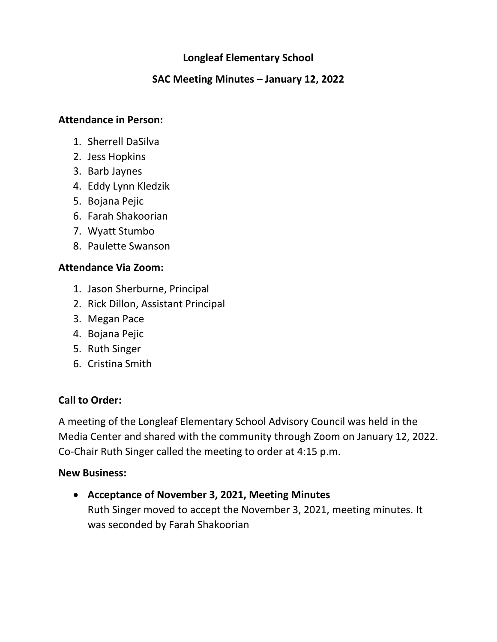# **Longleaf Elementary School**

## **SAC Meeting Minutes – January 12, 2022**

### **Attendance in Person:**

- 1. Sherrell DaSilva
- 2. Jess Hopkins
- 3. Barb Jaynes
- 4. Eddy Lynn Kledzik
- 5. Bojana Pejic
- 6. Farah Shakoorian
- 7. Wyatt Stumbo
- 8. Paulette Swanson

### **Attendance Via Zoom:**

- 1. Jason Sherburne, Principal
- 2. Rick Dillon, Assistant Principal
- 3. Megan Pace
- 4. Bojana Pejic
- 5. Ruth Singer
- 6. Cristina Smith

# **Call to Order:**

A meeting of the Longleaf Elementary School Advisory Council was held in the Media Center and shared with the community through Zoom on January 12, 2022. Co-Chair Ruth Singer called the meeting to order at 4:15 p.m.

#### **New Business:**

• **Acceptance of November 3, 2021, Meeting Minutes** Ruth Singer moved to accept the November 3, 2021, meeting minutes. It was seconded by Farah Shakoorian